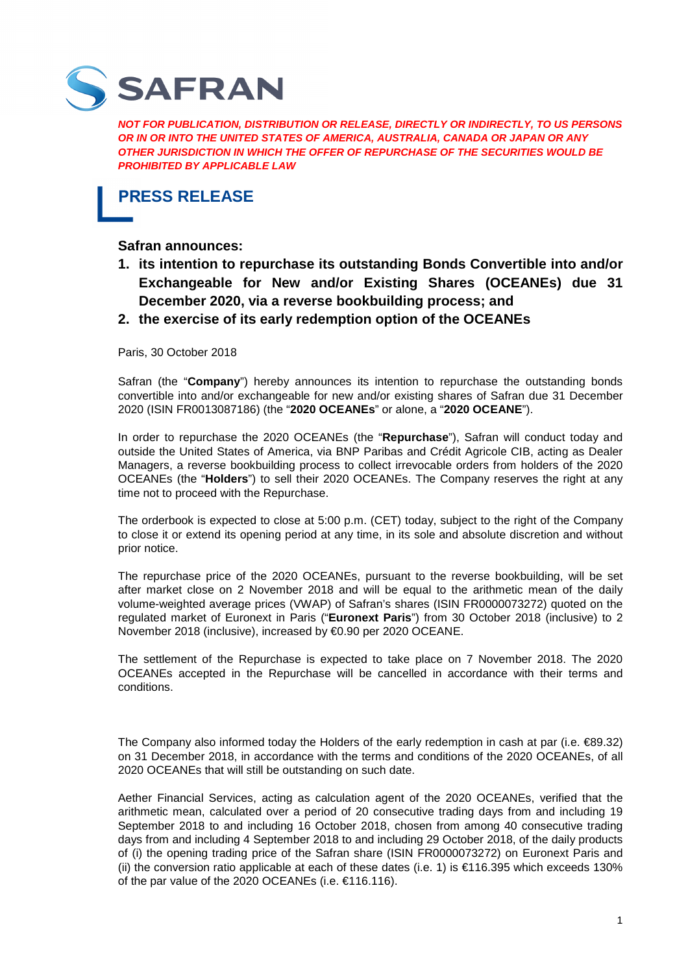

**NOT FOR PUBLICATION, DISTRIBUTION OR RELEASE, DIRECTLY OR INDIRECTLY, TO US PERSONS OR IN OR INTO THE UNITED STATES OF AMERICA, AUSTRALIA, CANADA OR JAPAN OR ANY OTHER JURISDICTION IN WHICH THE OFFER OF REPURCHASE OF THE SECURITIES WOULD BE PROHIBITED BY APPLICABLE LAW** 

**PRESS RELEASE** 

**Safran announces:** 

- **1. its intention to repurchase its outstanding Bonds Convertible into and/or Exchangeable for New and/or Existing Shares (OCEANEs) due 31 December 2020, via a reverse bookbuilding process; and**
- **2. the exercise of its early redemption option of the OCEANEs**

Paris, 30 October 2018

Safran (the "**Company**") hereby announces its intention to repurchase the outstanding bonds convertible into and/or exchangeable for new and/or existing shares of Safran due 31 December 2020 (ISIN FR0013087186) (the "**2020 OCEANEs**" or alone, a "**2020 OCEANE**").

In order to repurchase the 2020 OCEANEs (the "**Repurchase**"), Safran will conduct today and outside the United States of America, via BNP Paribas and Crédit Agricole CIB, acting as Dealer Managers, a reverse bookbuilding process to collect irrevocable orders from holders of the 2020 OCEANEs (the "**Holders**") to sell their 2020 OCEANEs. The Company reserves the right at any time not to proceed with the Repurchase.

The orderbook is expected to close at 5:00 p.m. (CET) today, subject to the right of the Company to close it or extend its opening period at any time, in its sole and absolute discretion and without prior notice.

The repurchase price of the 2020 OCEANEs, pursuant to the reverse bookbuilding, will be set after market close on 2 November 2018 and will be equal to the arithmetic mean of the daily volume-weighted average prices (VWAP) of Safran's shares (ISIN FR0000073272) quoted on the regulated market of Euronext in Paris ("**Euronext Paris**") from 30 October 2018 (inclusive) to 2 November 2018 (inclusive), increased by €0.90 per 2020 OCEANE.

The settlement of the Repurchase is expected to take place on 7 November 2018. The 2020 OCEANEs accepted in the Repurchase will be cancelled in accordance with their terms and conditions.

The Company also informed today the Holders of the early redemption in cash at par (i.e.  $\in$ 89.32) on 31 December 2018, in accordance with the terms and conditions of the 2020 OCEANEs, of all 2020 OCEANEs that will still be outstanding on such date.

Aether Financial Services, acting as calculation agent of the 2020 OCEANEs, verified that the arithmetic mean, calculated over a period of 20 consecutive trading days from and including 19 September 2018 to and including 16 October 2018, chosen from among 40 consecutive trading days from and including 4 September 2018 to and including 29 October 2018, of the daily products of (i) the opening trading price of the Safran share (ISIN FR0000073272) on Euronext Paris and (ii) the conversion ratio applicable at each of these dates (i.e. 1) is €116.395 which exceeds 130% of the par value of the 2020 OCEANEs (i.e. €116.116).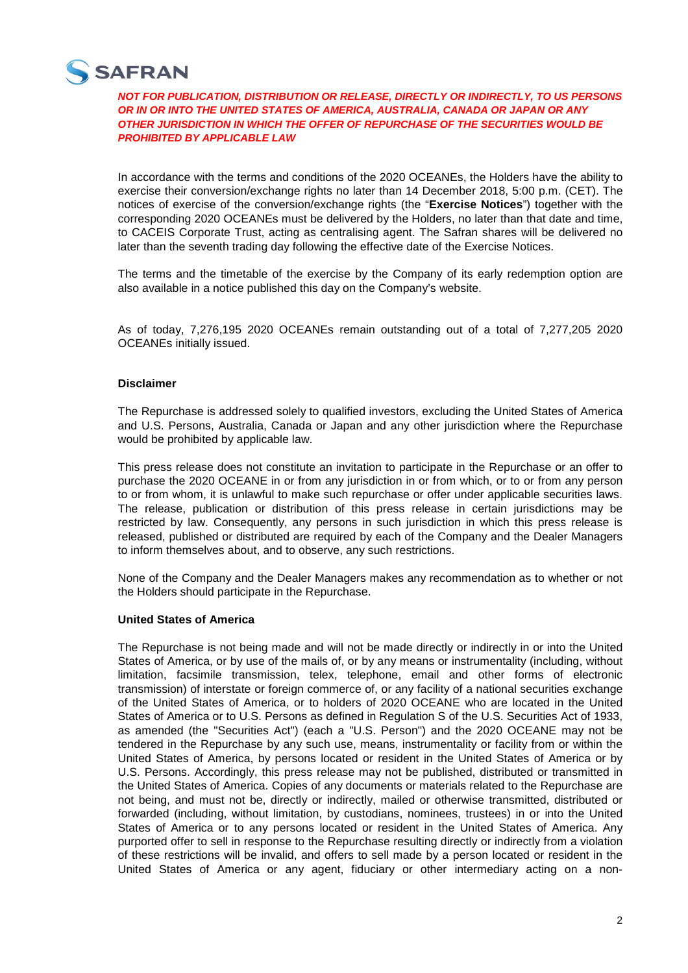

**NOT FOR PUBLICATION, DISTRIBUTION OR RELEASE, DIRECTLY OR INDIRECTLY, TO US PERSONS OR IN OR INTO THE UNITED STATES OF AMERICA, AUSTRALIA, CANADA OR JAPAN OR ANY OTHER JURISDICTION IN WHICH THE OFFER OF REPURCHASE OF THE SECURITIES WOULD BE PROHIBITED BY APPLICABLE LAW** 

In accordance with the terms and conditions of the 2020 OCEANEs, the Holders have the ability to exercise their conversion/exchange rights no later than 14 December 2018, 5:00 p.m. (CET). The notices of exercise of the conversion/exchange rights (the "**Exercise Notices**") together with the corresponding 2020 OCEANEs must be delivered by the Holders, no later than that date and time, to CACEIS Corporate Trust, acting as centralising agent. The Safran shares will be delivered no later than the seventh trading day following the effective date of the Exercise Notices.

The terms and the timetable of the exercise by the Company of its early redemption option are also available in a notice published this day on the Company's website.

As of today, 7,276,195 2020 OCEANEs remain outstanding out of a total of 7,277,205 2020 OCEANEs initially issued.

# **Disclaimer**

The Repurchase is addressed solely to qualified investors, excluding the United States of America and U.S. Persons, Australia, Canada or Japan and any other jurisdiction where the Repurchase would be prohibited by applicable law.

This press release does not constitute an invitation to participate in the Repurchase or an offer to purchase the 2020 OCEANE in or from any jurisdiction in or from which, or to or from any person to or from whom, it is unlawful to make such repurchase or offer under applicable securities laws. The release, publication or distribution of this press release in certain jurisdictions may be restricted by law. Consequently, any persons in such jurisdiction in which this press release is released, published or distributed are required by each of the Company and the Dealer Managers to inform themselves about, and to observe, any such restrictions.

None of the Company and the Dealer Managers makes any recommendation as to whether or not the Holders should participate in the Repurchase.

## **United States of America**

The Repurchase is not being made and will not be made directly or indirectly in or into the United States of America, or by use of the mails of, or by any means or instrumentality (including, without limitation, facsimile transmission, telex, telephone, email and other forms of electronic transmission) of interstate or foreign commerce of, or any facility of a national securities exchange of the United States of America, or to holders of 2020 OCEANE who are located in the United States of America or to U.S. Persons as defined in Regulation S of the U.S. Securities Act of 1933, as amended (the "Securities Act") (each a "U.S. Person") and the 2020 OCEANE may not be tendered in the Repurchase by any such use, means, instrumentality or facility from or within the United States of America, by persons located or resident in the United States of America or by U.S. Persons. Accordingly, this press release may not be published, distributed or transmitted in the United States of America. Copies of any documents or materials related to the Repurchase are not being, and must not be, directly or indirectly, mailed or otherwise transmitted, distributed or forwarded (including, without limitation, by custodians, nominees, trustees) in or into the United States of America or to any persons located or resident in the United States of America. Any purported offer to sell in response to the Repurchase resulting directly or indirectly from a violation of these restrictions will be invalid, and offers to sell made by a person located or resident in the United States of America or any agent, fiduciary or other intermediary acting on a non-